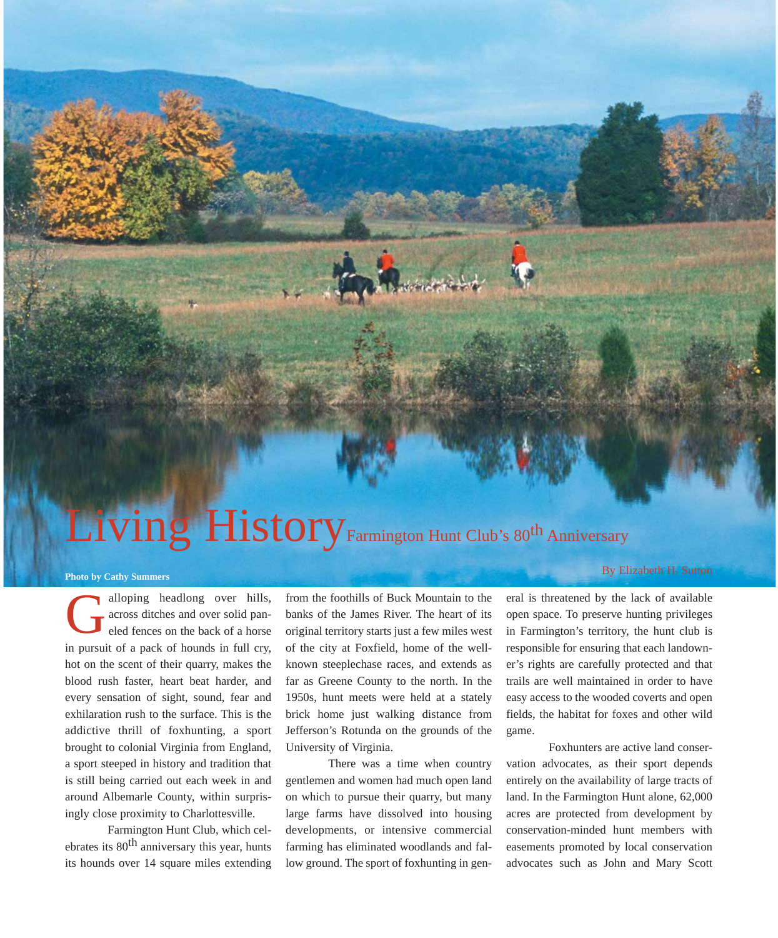## Living History Farmington Hunt Club's 80<sup>th</sup> Anniversary

## **Photo by Cathy Summers**

alloping headlong over hills, across ditches and over solid paneled fences on the back of a horse in pursuit of a pack of hounds in full cry, hot on the scent of their quarry, makes the blood rush faster, heart beat harder, and every sensation of sight, sound, fear and exhilaration rush to the surface. This is the addictive thrill of foxhunting, a sport brought to colonial Virginia from England, a sport steeped in history and tradition that is still being carried out each week in and around Albemarle County, within surprisingly close proximity to Charlottesville. G

Farmington Hunt Club, which celebrates its  $80<sup>th</sup>$  anniversary this year, hunts its hounds over 14 square miles extending from the foothills of Buck Mountain to the banks of the James River. The heart of its original territory starts just a few miles west of the city at Foxfield, home of the wellknown steeplechase races, and extends as far as Greene County to the north. In the 1950s, hunt meets were held at a stately brick home just walking distance from Jefferson's Rotunda on the grounds of the University of Virginia.

There was a time when country gentlemen and women had much open land on which to pursue their quarry, but many large farms have dissolved into housing developments, or intensive commercial farming has eliminated woodlands and fallow ground. The sport of foxhunting in general is threatened by the lack of available open space. To preserve hunting privileges in Farmington's territory, the hunt club is responsible for ensuring that each landowner's rights are carefully protected and that trails are well maintained in order to have easy access to the wooded coverts and open fields, the habitat for foxes and other wild game.

Foxhunters are active land conservation advocates, as their sport depends entirely on the availability of large tracts of land. In the Farmington Hunt alone, 62,000 acres are protected from development by conservation-minded hunt members with easements promoted by local conservation advocates such as John and Mary Scott

## By Elizabeth H. Sutton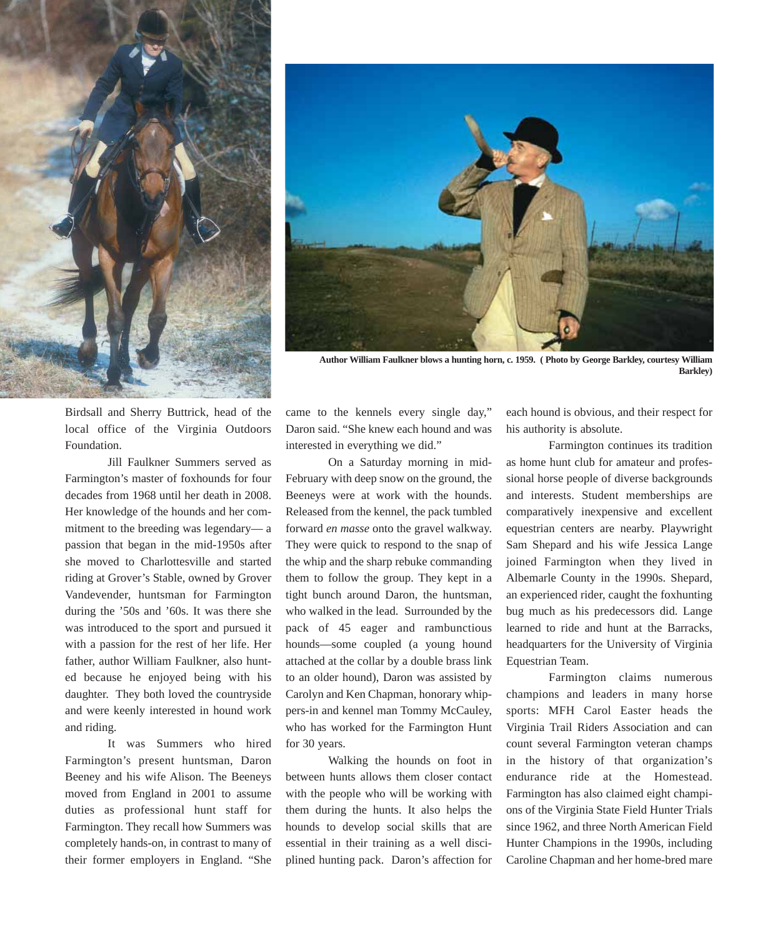



**Author William Faulkner blows a hunting horn, c. 1959. ( Photo by George Barkley, courtesy William Barkley)**

Birdsall and Sherry Buttrick, head of the local office of the Virginia Outdoors Foundation.

Jill Faulkner Summers served as Farmington's master of foxhounds for four decades from 1968 until her death in 2008. Her knowledge of the hounds and her commitment to the breeding was legendary— a passion that began in the mid-1950s after she moved to Charlottesville and started riding at Grover's Stable, owned by Grover Vandevender, huntsman for Farmington during the '50s and '60s. It was there she was introduced to the sport and pursued it with a passion for the rest of her life. Her father, author William Faulkner, also hunted because he enjoyed being with his daughter. They both loved the countryside and were keenly interested in hound work and riding.

It was Summers who hired Farmington's present huntsman, Daron Beeney and his wife Alison. The Beeneys moved from England in 2001 to assume duties as professional hunt staff for Farmington. They recall how Summers was completely hands-on, in contrast to many of their former employers in England. "She came to the kennels every single day," Daron said. "She knew each hound and was interested in everything we did."

On a Saturday morning in mid-February with deep snow on the ground, the Beeneys were at work with the hounds. Released from the kennel, the pack tumbled forward *en masse* onto the gravel walkway. They were quick to respond to the snap of the whip and the sharp rebuke commanding them to follow the group. They kept in a tight bunch around Daron, the huntsman, who walked in the lead. Surrounded by the pack of 45 eager and rambunctious hounds—some coupled (a young hound attached at the collar by a double brass link to an older hound), Daron was assisted by Carolyn and Ken Chapman, honorary whippers-in and kennel man Tommy McCauley, who has worked for the Farmington Hunt for 30 years.

Walking the hounds on foot in between hunts allows them closer contact with the people who will be working with them during the hunts. It also helps the hounds to develop social skills that are essential in their training as a well disciplined hunting pack. Daron's affection for

each hound is obvious, and their respect for his authority is absolute.

Farmington continues its tradition as home hunt club for amateur and professional horse people of diverse backgrounds and interests. Student memberships are comparatively inexpensive and excellent equestrian centers are nearby. Playwright Sam Shepard and his wife Jessica Lange joined Farmington when they lived in Albemarle County in the 1990s. Shepard, an experienced rider, caught the foxhunting bug much as his predecessors did. Lange learned to ride and hunt at the Barracks, headquarters for the University of Virginia Equestrian Team.

Farmington claims numerous champions and leaders in many horse sports: MFH Carol Easter heads the Virginia Trail Riders Association and can count several Farmington veteran champs in the history of that organization's endurance ride at the Homestead. Farmington has also claimed eight champions of the Virginia State Field Hunter Trials since 1962, and three North American Field Hunter Champions in the 1990s, including Caroline Chapman and her home-bred mare